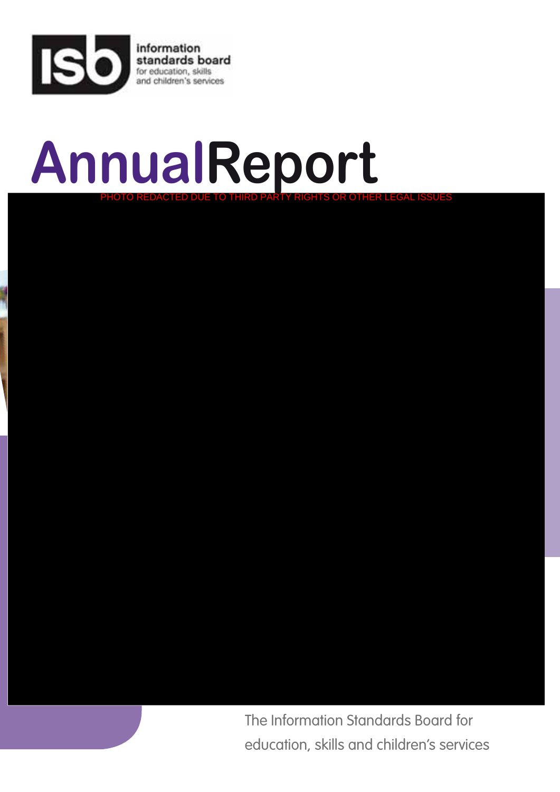

# **AnnualReport** PHOTO REDACTED DUE TO THIRD PARTY RIGHTS OR OTHER LEGAL ISSUES

The Information Standards Board for [education, skills and children's services](http://data.gov.uk/education-standards/)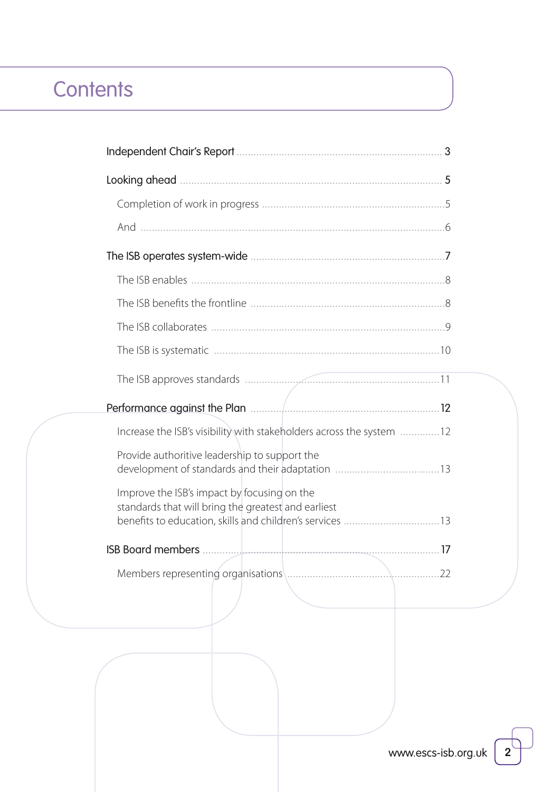# **Contents**

| Increase the ISB's visibility with stakeholders across the system 12                                                                                           |
|----------------------------------------------------------------------------------------------------------------------------------------------------------------|
| Provide authoritive leadership to support the<br>development of standards and their adaptation 13                                                              |
| Improve the ISB's impact by focusing on the<br>standards that will bring the greatest and earliest<br>benefits to education, skills and children's services 13 |
|                                                                                                                                                                |
|                                                                                                                                                                |

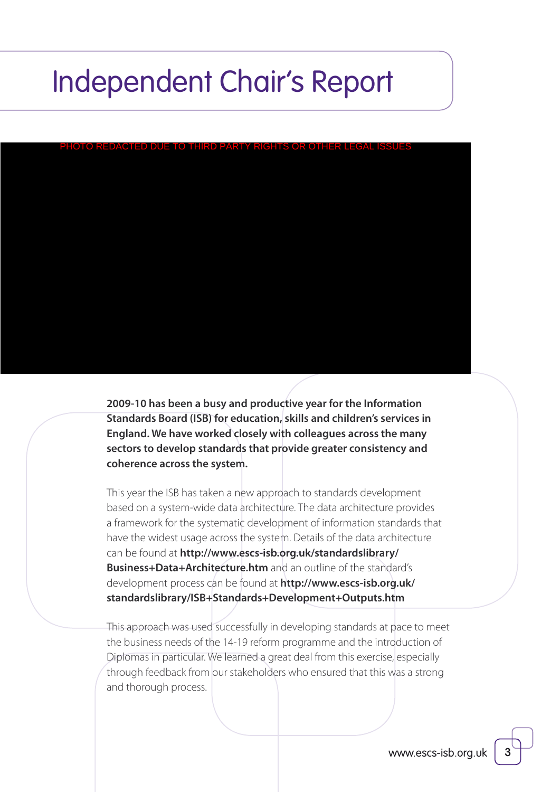# Independent Chair's Report

PHOTO REDACTED DUE TO THIRD PARTY RIGHTS OR OTHER LEGAL ISSUES

**2009-10 has been a busy and productive year for the Information Standards Board (ISB) for education, skills and children's services in England. We have worked closely with colleagues across the many sectors to develop standards that provide greater consistency and coherence across the system.**

This year the ISB has taken a new approach to standards development based on a system-wide data architecture. The data architecture provides a framework for the systematic development of information standards that have the widest usage across the system. Details of the data architecture can be found at **[http://www.escs-isb.org.uk/standardslibrary/](http://data.gov.uk/education-standards/standards) [Business+Data+Architecture.htm](http://data.gov.uk/education-standards/standards)** and an outline of the standard's development process can be found at **[http://www.escs-isb.org.uk/](http://data.gov.uk/education-standards/standards) [standardslibrary/ISB+Standards+Development+Outputs.htm](http://data.gov.uk/education-standards/standards)**

This approach was used successfully in developing standards at pace to meet the business needs of the 14-19 reform programme and the introduction of Diplomas in particular. We learned a great deal from this exercise, especially through feedback from our stakeholders who ensured that this was a strong and thorough process.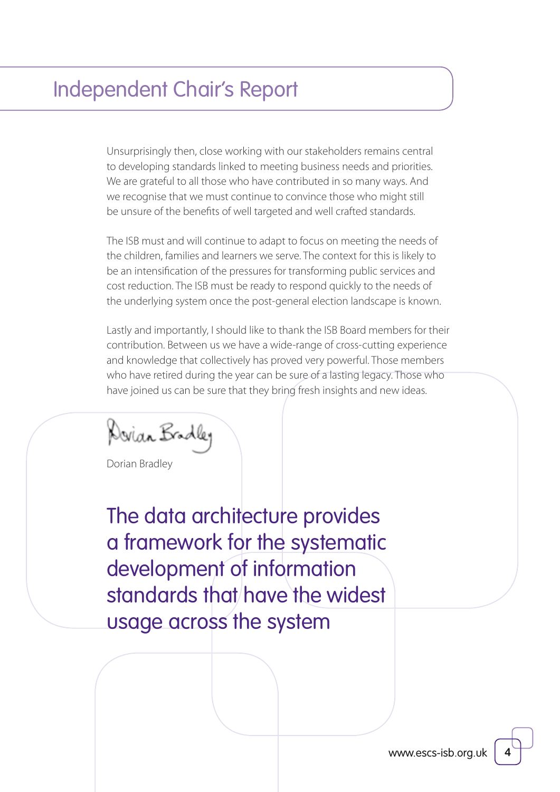# Independent Chair's Report

Unsurprisingly then, close working with our stakeholders remains central to developing standards linked to meeting business needs and priorities. We are grateful to all those who have contributed in so many ways. And we recognise that we must continue to convince those who might still be unsure of the benefits of well targeted and well crafted standards.

The ISB must and will continue to adapt to focus on meeting the needs of the children, families and learners we serve. The context for this is likely to be an intensification of the pressures for transforming public services and cost reduction. The ISB must be ready to respond quickly to the needs of the underlying system once the post-general election landscape is known.

Lastly and importantly, I should like to thank the ISB Board members for their contribution. Between us we have a wide-range of cross-cutting experience and knowledge that collectively has proved very powerful. Those members who have retired during the year can be sure of a lasting legacy. Those who have joined us can be sure that they bring fresh insights and new ideas.

Dovian Bradley

[Dorian Bradley](http://data.gov.uk/education-standards/about-isb)

The data architecture provides a framework for the systematic development of information standards that have the widest usage across the system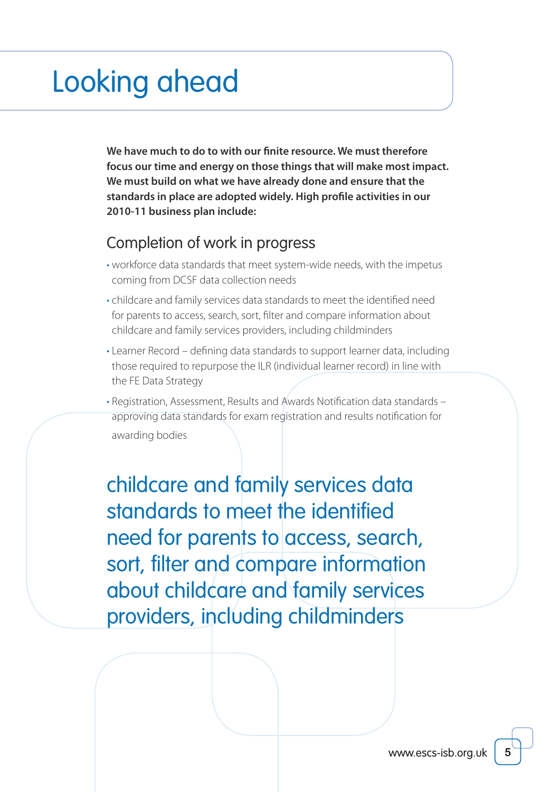# Looking ahead

**We have much to do to with our finite resource. We must therefore focus our time and energy on those things that will make most impact. We must build on what we have already done and ensure that the standards in place are adopted widely. High profile activities in our 2010-11 business plan include:**

### Completion of work in progress

- workforce data standards that meet system-wide needs, with the impetus coming from DCSF data collection needs
- childcare and family services data standards to meet the identified need for parents to access, search, sort, filter and compare information about childcare and family services providers, including childminders
- Learner Record defining data standards to support learner data, including those required to repurpose the ILR (individual learner record) in line with the FE Data Strategy
- Registration, Assessment, Results and Awards Notification data standards approving data standards for exam registration and results notification for awarding bodies

 childcare and family services data standards to meet the identified need for parents to access, search, sort, filter and compare information about childcare and family services providers, including childminders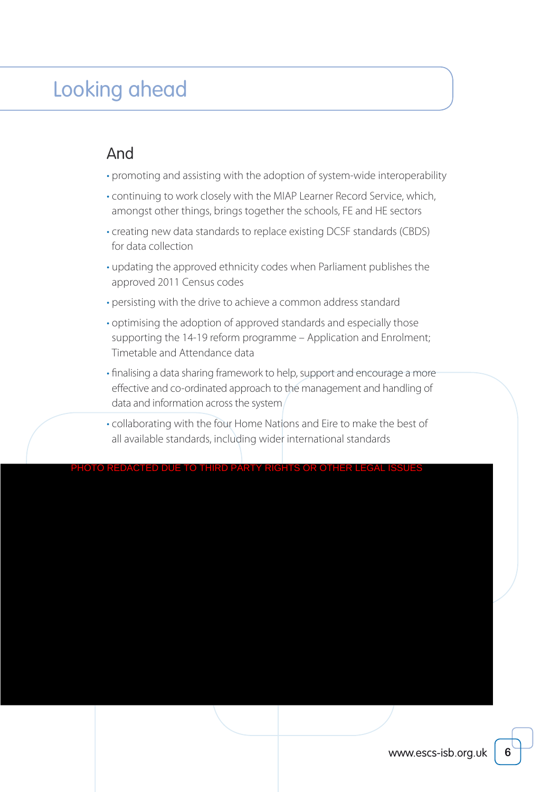# Looking ahead

### And

- promoting and assisting with the adoption of system-wide interoperability
- continuing to work closely with the MIAP Learner Record Service, which, amongst other things, brings together the schools, FE and HE sectors
- creating new data standards to replace existing DCSF standards (CBDS) for data collection
- updating the approved ethnicity codes when Parliament publishes the approved 2011 Census codes
- persisting with the drive to achieve a common address standard
- optimising the adoption of approved standards and especially those supporting the 14-19 reform programme – Application and Enrolment; Timetable and Attendance data
- finalising a data sharing framework to help, support and encourage a more effective and co-ordinated approach to the management and handling of data and information across the system
- collaborating with the four Home Nations and Eire to make the best of all available standards, including wider international standards

THIRD PARTY RIGHTS OR OTHER LEG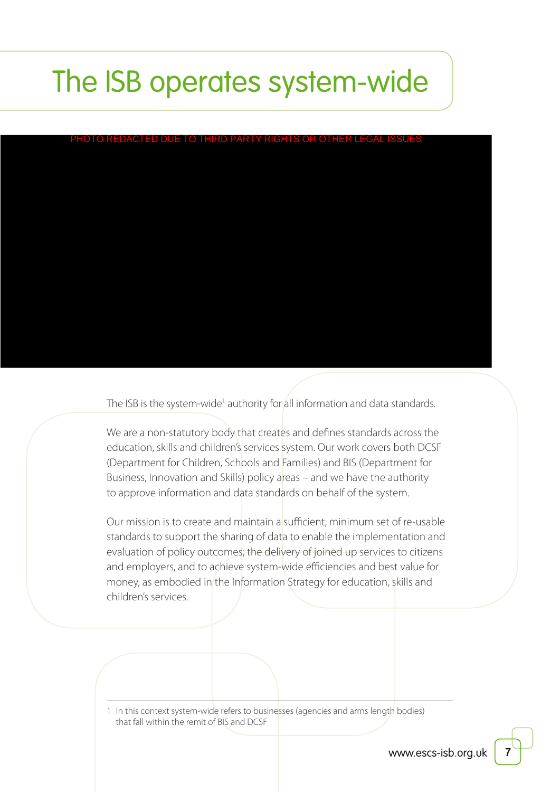# The ISB operates system-wide

PHOTO REDACTED DUE TO THIRD PARTY RIGHTS OR OTHER LEGAL

The ISB is the system-wide<sup>1</sup> authority for <mark>all information and data standards</mark>.

We are a non-statutory body that creates and defines standards across the education, skills and children's services system. Our work covers both DCSF (Department for Children, Schools and Families) and BIS (Department for Business, Innovation and Skills) policy areas – and we have the authority to approve information and data standards on behalf of the system.

Our mission is to create and maintain a sufficient, minimum set of re-usable standards to support the sharing of data to enable the implementation and evaluation of policy outcomes; the delivery of joined up services to citizens and employers, and to achieve system-wide efficiencies and best value for money, as embodied in the Information Strategy for education, skills and children's services.

1 In this context system-wide refers to businesses (agencies and arms length bodies) that fall within the remit of BIS and DCSF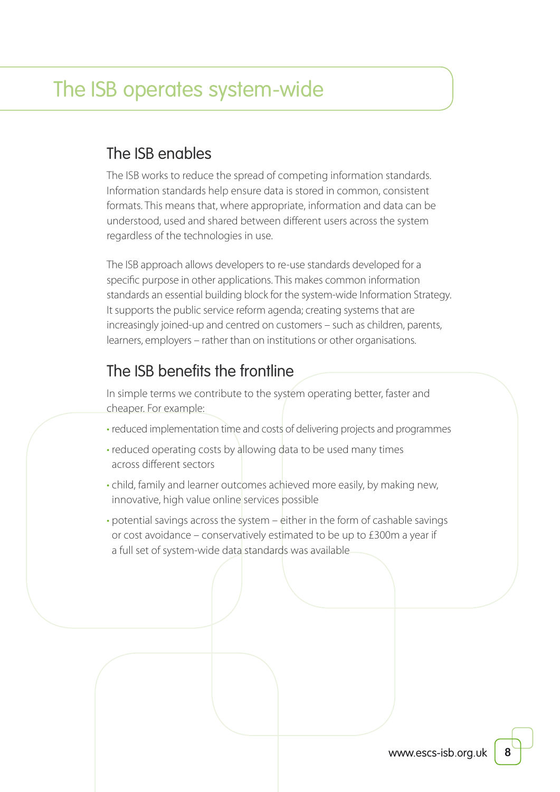### The ISB enables

The ISB works to reduce the spread of competing information standards. Information standards help ensure data is stored in common, consistent formats. This means that, where appropriate, information and data can be understood, used and shared between different users across the system regardless of the technologies in use.

The ISB approach allows developers to re-use standards developed for a specific purpose in other applications. This makes common information standards an essential building block for the system-wide Information Strategy. It supports the public service reform agenda; creating systems that are increasingly joined-up and centred on customers – such as children, parents, learners, employers – rather than on institutions or other organisations.

### The ISB benefits the frontline

In simple terms we contribute to the system operating better, faster and cheaper. For example:

- reduced implementation time and costs of delivering projects and programmes
- reduced operating costs by allowing data to be used many times across different sectors
- child, family and learner outcomes achieved more easily, by making new, innovative, high value online services possible
- potential savings across the system either in the form of cashable savings or cost avoidance – conservatively estimated to be up to £300m a year if a full set of system-wide data standards was available

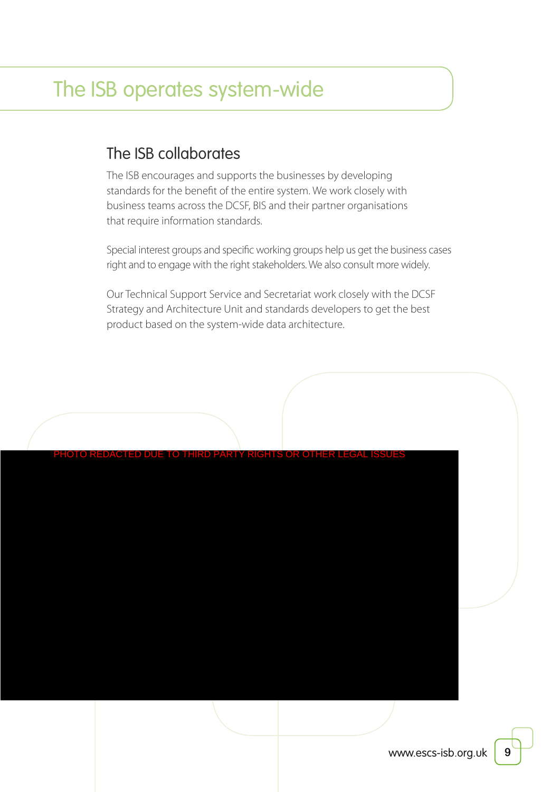### The ISB collaborates

The ISB encourages and supports the businesses by developing standards for the benefit of the entire system. We work closely with business teams across the DCSF, BIS and their partner organisations that require information standards.

Special interest groups and specific working groups help us get the business cases right and to engage with the right stakeholders. We also consult more widely.

Our Technical Support Service and Secretariat work closely with the DCSF Strategy and Architecture Unit and standards developers to get the best product based on the system-wide data architecture.

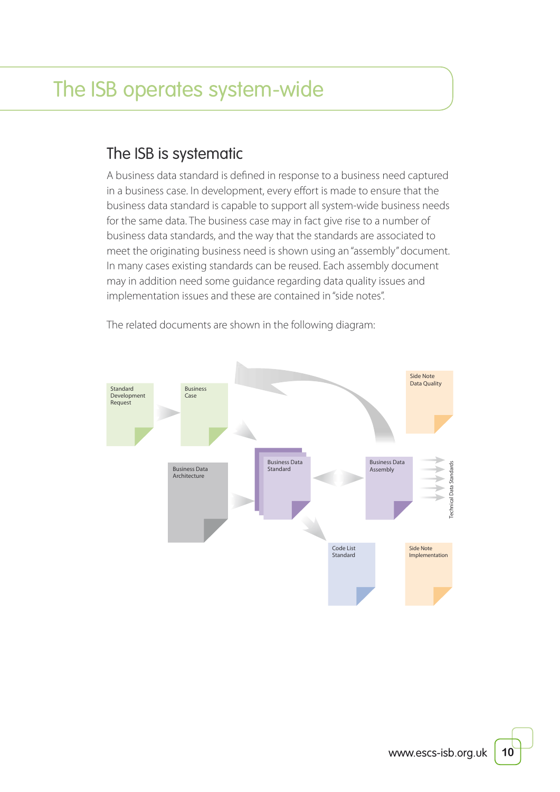### The ISB is systematic

A business data standard is defined in response to a business need captured in a business case. In development, every effort is made to ensure that the business data standard is capable to support all system-wide business needs for the same data. The business case may in fact give rise to a number of business data standards, and the way that the standards are associated to meet the originating business need is shown using an "assembly" document. In many cases existing standards can be reused. Each assembly document may in addition need some guidance regarding data quality issues and implementation issues and these are contained in "side notes".



The related documents are shown in the following diagram:

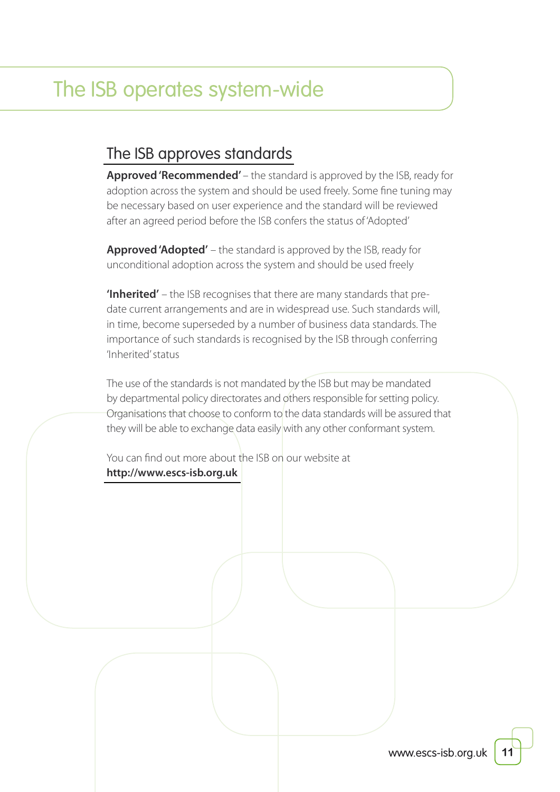# The ISB operates system-wide

### [The ISB approves standards](http://data.gov.uk/education-standards/standards)

**Approved 'Recommended'** – the standard is approved by the ISB, ready for adoption across the system and should be used freely. Some fine tuning may be necessary based on user experience and the standard will be reviewed after an agreed period before the ISB confers the status of 'Adopted'

**Approved 'Adopted'** – the standard is approved by the ISB, ready for unconditional adoption across the system and should be used freely

**'Inherited'** – the ISB recognises that there are many standards that predate current arrangements and are in widespread use. Such standards will, in time, become superseded by a number of business data standards. The importance of such standards is recognised by the ISB through conferring 'Inherited' status

The use of the standards is not mandated by the ISB but may be mandated by departmental policy directorates and others responsible for setting policy. Organisations that choose to conform to the data standards will be assured that they will be able to exchange data easily with any other conformant system.

You can find out more about the ISB on our website at **[http://www.escs-isb.org.uk](http://data.gov.uk/education-standards/)**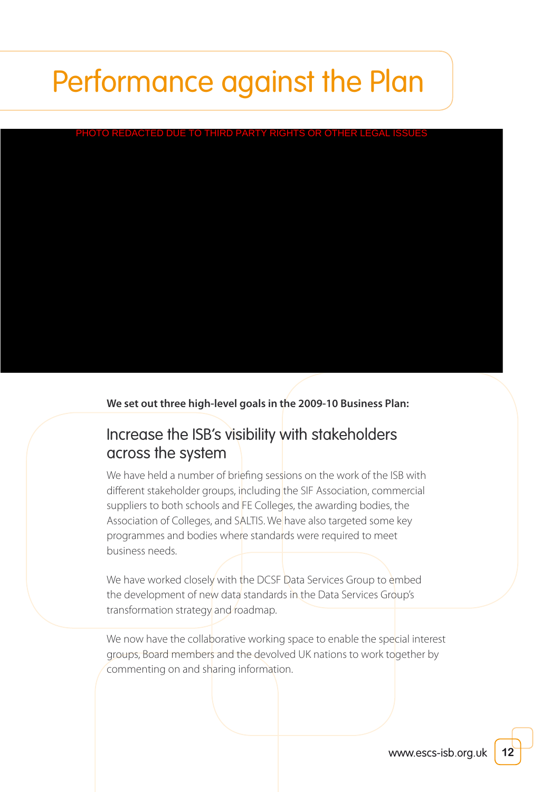#### <u>ED DUE TO THIRD PARTY RIGHTS OR OTH</u>

**We set out three high-level goals in the 2009-10 Business Plan:**

### Increase the ISB's visibility with stakeholders across the system

We have held a number of briefing sessions on the work of the ISB with different stakeholder groups, including the SIF Association, commercial suppliers to both schools and FE Colleges, the awarding bodies, the Association of Colleges, and SALTIS. We have also targeted some key programmes and bodies where standards were required to meet business needs.

We have worked closely with the DCSF Data Services Group to embed the development of new data standards in the Data Services Group's transformation strategy and roadmap.

We now have the collaborative working space to enable the special interest groups, Board members and the devolved UK nations to work together by commenting on and sharing information.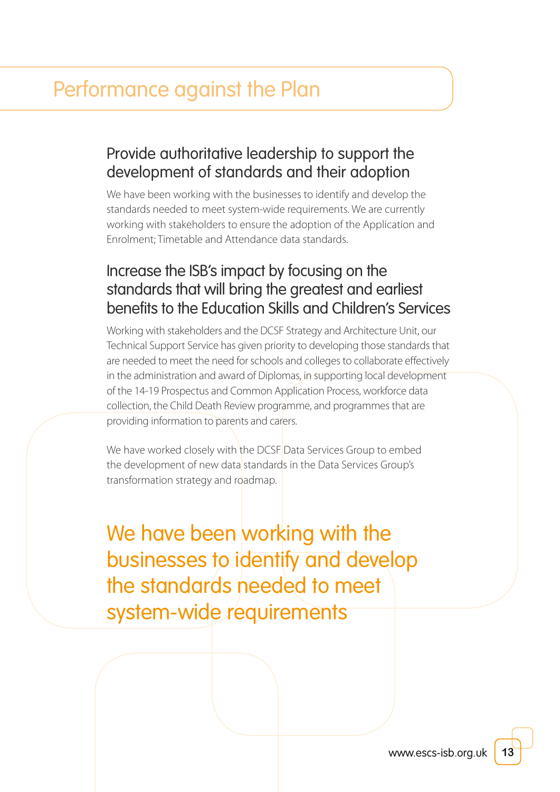### Provide authoritative leadership to support the development of standards and their adoption

We have been working with the businesses to identify and develop the standards needed to meet system-wide requirements. We are currently working with stakeholders to ensure the adoption of the Application and Enrolment; Timetable and Attendance data standards.

### Increase the ISB's impact by focusing on the standards that will bring the greatest and earliest benefits to the Education Skills and Children's Services

Working with stakeholders and the DCSF Strategy and Architecture Unit, our Technical Support Service has given priority to developing those standards that are needed to meet the need for schools and colleges to collaborate effectively in the administration and award of Diplomas, in supporting local development of the 14-19 Prospectus and Common Application Process, workforce data collection, the Child Death Review programme, and programmes that are providing information to parents and carers.

We have worked closely with the DCSF Data Services Group to embed the development of new data standards in the Data Services Group's transformation strategy and roadmap.

We have been working with the businesses to identify and develop the standards needed to meet system-wide requirements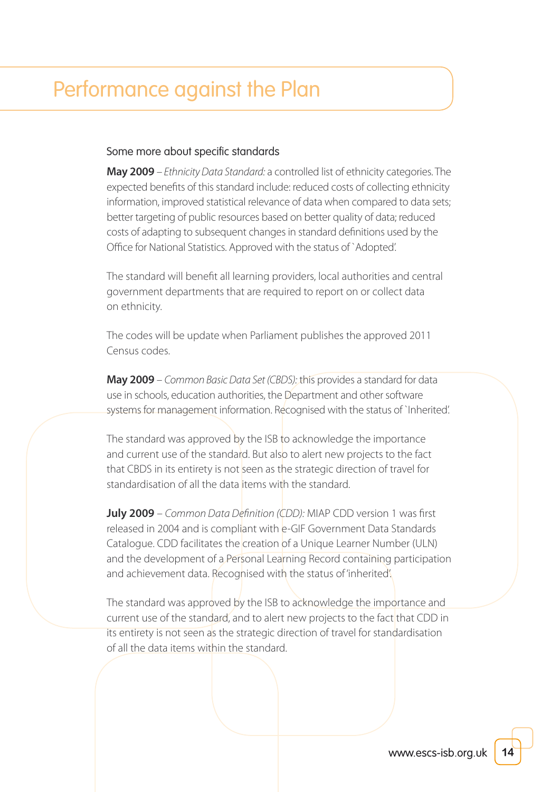#### Some more about specific standards

**May 2009** – Ethnicity Data Standard: a controlled list of ethnicity categories. The expected benefits of this standard include: reduced costs of collecting ethnicity information, improved statistical relevance of data when compared to data sets; better targeting of public resources based on better quality of data; reduced costs of adapting to subsequent changes in standard definitions used by the Office for National Statistics. Approved with the status of `Adopted'.

The standard will benefit all learning providers, local authorities and central government departments that are required to report on or collect data on ethnicity.

The codes will be update when Parliament publishes the approved 2011 Census codes.

**May 2009** – Common Basic Data Set (CBDS): this provides a standard for data use in schools, education authorities, the Department and other software systems for management information. Recognised with the status of `Inherited'.

The standard was approved by the ISB to acknowledge the importance and current use of the standard. But also to alert new projects to the fact that CBDS in its entirety is not seen as the strategic direction of travel for standardisation of all the data items with the standard.

**July 2009** – Common Data Definition (CDD): MIAP CDD version 1 was first released in 2004 and is compliant with e-GIF Government Data Standards Catalogue. CDD facilitates the creation of a Unique Learner Number (ULN) and the development of a Personal Learning Record containing participation and achievement data. Recognised with the status of 'inherited'.

The standard was approved by the ISB to acknowledge the importance and current use of the standard, and to alert new projects to the fact that CDD in its entirety is not seen as the strategic direction of travel for standardisation of all the data items within the standard.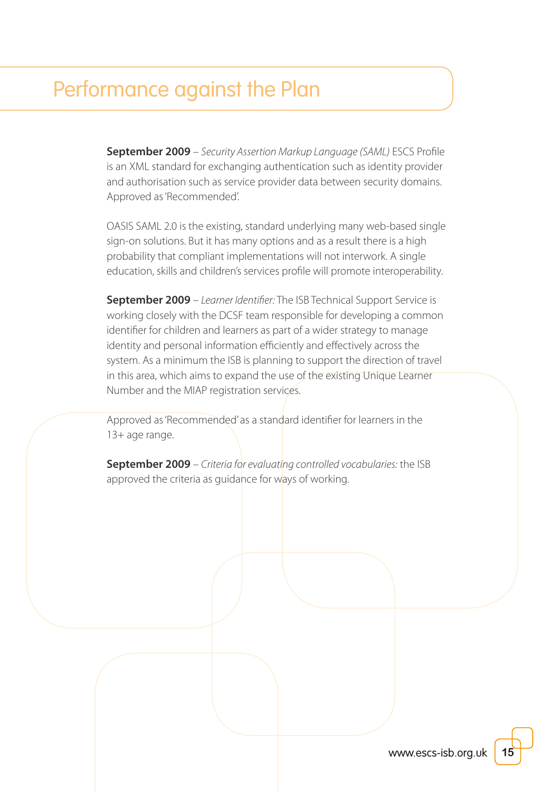**September 2009** – Security Assertion Markup Language (SAML) ESCS Profile is an XML standard for exchanging authentication such as identity provider and authorisation such as service provider data between security domains. Approved as 'Recommended'.

OASIS SAML 2.0 is the existing, standard underlying many web-based single sign-on solutions. But it has many options and as a result there is a high probability that compliant implementations will not interwork. A single education, skills and children's services profile will promote interoperability.

**September 2009** – Learner Identifier: The ISB Technical Support Service is working closely with the DCSF team responsible for developing a common identifier for children and learners as part of a wider strategy to manage identity and personal information efficiently and effectively across the system. As a minimum the ISB is planning to support the direction of travel in this area, which aims to expand the use of the existing Unique Learner Number and the MIAP registration services.

Approved as 'Recommended' as a standard identifier for learners in the 13+ age range.

**September 2009** – Criteria for evaluating controlled vocabularies: the ISB approved the criteria as guidance for ways of working.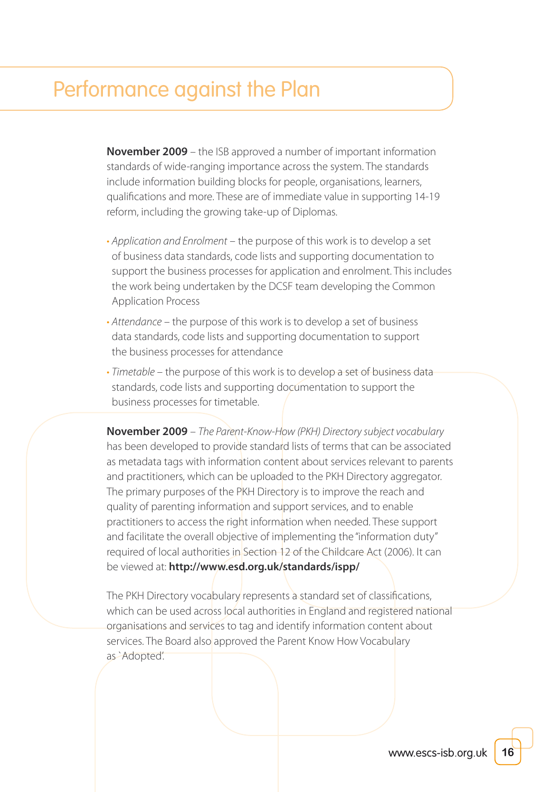**November 2009** – the ISB approved a number of important information standards of wide-ranging importance across the system. The standards include information building blocks for people, organisations, learners, qualifications and more. These are of immediate value in supporting 14-19 reform, including the growing take-up of Diplomas.

- Application and Enrolment the purpose of this work is to develop a set of business data standards, code lists and supporting documentation to support the business processes for application and enrolment. This includes the work being undertaken by the DCSF team developing the Common Application Process
- Attendance the purpose of this work is to develop a set of business data standards, code lists and supporting documentation to support the business processes for attendance
- Timetable the purpose of this work is to develop a set of business data standards, code lists and supporting documentation to support the business processes for timetable.

**November 2009** – The Parent-Know-How (PKH) Directory subject vocabulary has been developed to provide standard lists of terms that can be associated as metadata tags with information content about services relevant to parents and practitioners, which can be uploaded to the PKH Directory aggregator. The primary purposes of the PKH Directory is to improve the reach and quality of parenting information and support services, and to enable practitioners to access the right information when needed. These support and facilitate the overall objective of implementing the "information duty" required of local authorities in Section 12 of the Childcare Act (2006). It can be viewed at: **[http://www.esd.org.uk/standards/ispp/](http://standards.esd.org.uk/?uri=http%3A%2F%2Fid.esd.org.uk%2FFID%2F)**

The PKH Directory vocabulary represents a standard set of classifications, which can be used across local authorities in England and registered national organisations and services to tag and identify information content about services. The Board also approved the Parent Know How Vocabulary as `Adopted'.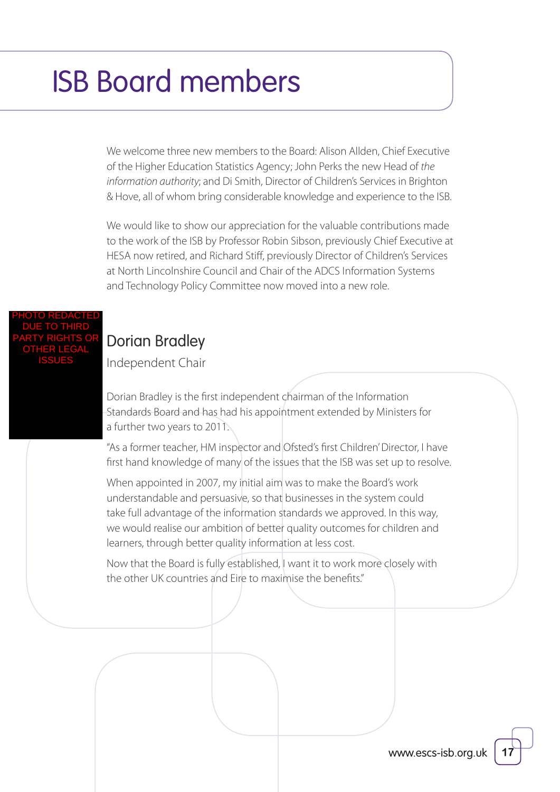We welcome three new members to the Board: Alison Allden, Chief Executive of the Higher Education Statistics Agency; John Perks the new Head of the information authority; and Di Smith, Director of Children's Services in Brighton & Hove, all of whom bring considerable knowledge and experience to the ISB.

We would like to show our appreciation for the valuable contributions made to the work of the ISB by Professor Robin Sibson, previously Chief Executive at HESA now retired, and Richard Stiff, previously Director of Children's Services at North Lincolnshire Council and Chair of the ADCS Information Systems and Technology Policy Committee now moved into a new role.

#### PHOTO REDACTED DUE TO THIRD PARTY RIGHTS OR OTHER LEGAL ISSUES

## [Dorian Bradley](http://data.gov.uk/education-standards/about-isb)

Independent Chair

Dorian Bradley is the first independent chairman of the Information Standards Board and has had his appointment extended by Ministers for a further two years to 2011.

"As a former teacher, HM inspector and Ofsted's first Children' Director, I have first hand knowledge of many of the issues that the ISB was set up to resolve.

When appointed in 2007, my initial aim was to make the Board's work understandable and persuasive, so that businesses in the system could take full advantage of the information standards we approved. In this way, we would realise our ambition of better quality outcomes for children and learners, through better quality information at less cost.

Now that the Board is fully established, I want it to work more closely with the other UK countries and Eire to maximise the benefits."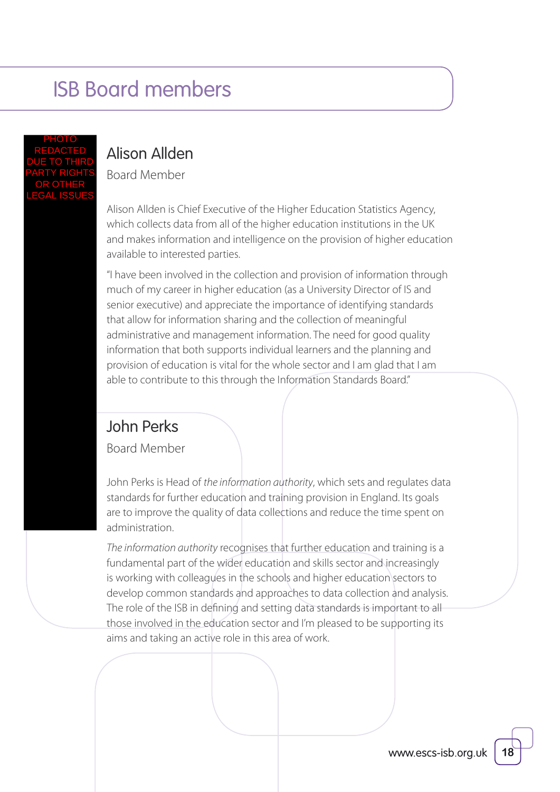#### PHOTO REDACTED DUE TO THIRD PARTY RIGHTS OR OTHER LEGAL ISSUES

### [Alison Allden](http://data.gov.uk/education-standards/about-isb)

Board Member

Alison Allden is Chief Executive of the Higher Education Statistics Agency, which collects data from all of the higher education institutions in the UK and makes information and intelligence on the provision of higher education available to interested parties.

"I have been involved in the collection and provision of information through much of my career in higher education (as a University Director of IS and senior executive) and appreciate the importance of identifying standards that allow for information sharing and the collection of meaningful administrative and management information. The need for good quality information that both supports individual learners and the planning and provision of education is vital for the whole sector and I am glad that I am able to contribute to this through the Information Standards Board."

### [John Perks](http://data.gov.uk/education-standards/about-isb)

Board Member

John Perks is Head of the information authority, which sets and regulates data standards for further education and training provision in England. Its goals are to improve the quality of data collections and reduce the time spent on administration.

The information authority recognises that further education and training is a fundamental part of the wider education and skills sector and increasingly is working with colleagues in the schools and higher education sectors to develop common standards and approaches to data collection and analysis. The role of the ISB in defining and setting data standards is important to all those involved in the education sector and I'm pleased to be supporting its aims and taking an active role in this area of work.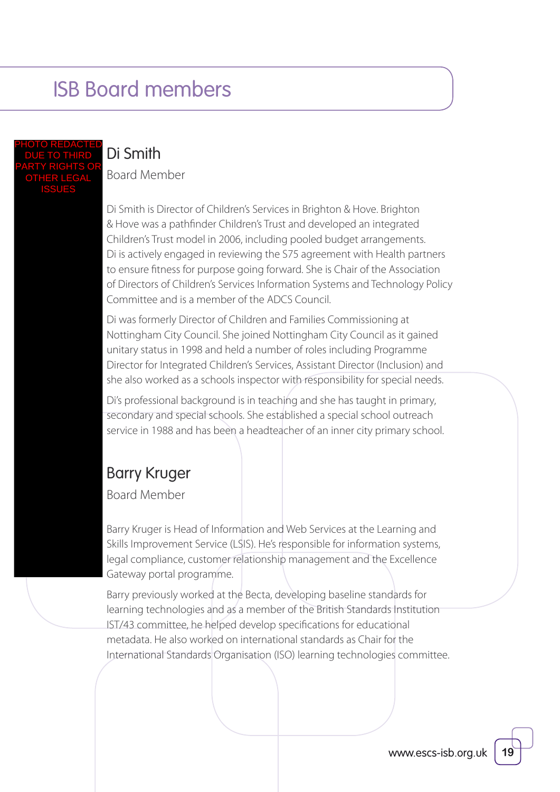PHOTO REDACTED DUE TO THIRD PARTY RIGHTS OR OTHER LEGAL ISSUES

### Di Smith

Board Member

Di Smith is Director of Children's Services in Brighton & Hove. Brighton & Hove was a pathfinder Children's Trust and developed an integrated Children's Trust model in 2006, including pooled budget arrangements. Di is actively engaged in reviewing the S75 agreement with Health partners to ensure fitness for purpose going forward. She is Chair of the Association of Directors of Children's Services Information Systems and Technology Policy Committee and is a member of the ADCS Council.

Di was formerly Director of Children and Families Commissioning at Nottingham City Council. She joined Nottingham City Council as it gained unitary status in 1998 and held a number of roles including Programme Director for Integrated Children's Services, Assistant Director (Inclusion) and she also worked as a schools inspector with responsibility for special needs.

Di's professional background is in teaching and she has taught in primary, secondary and special schools. She established a special school outreach service in 1988 and has been a headteacher of an inner city primary school.

### Barry Kruger

Board Member

Barry Kruger is Head of Information and Web Services at the Learning and Skills Improvement Service (LSIS). He's responsible for information systems, legal compliance, customer relationship management and the Excellence Gateway portal programme.

Barry previously worked at the Becta, developing baseline standards for learning technologies and as a member of the British Standards Institution IST/43 committee, he helped develop specifications for educational metadata. He also worked on international standards as Chair for the International Standards Organisation (ISO) learning technologies committee.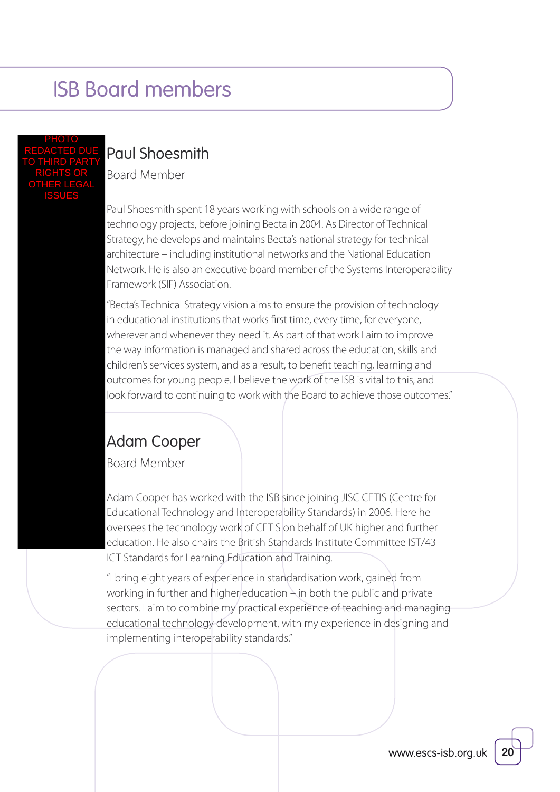#### PHOTO REDACTED DUE TO THIRD PARTY RIGHTS OR OTHER LEGAL ISSUES

### Paul Shoesmith

Board Member

Paul Shoesmith spent 18 years working with schools on a wide range of technology projects, before joining Becta in 2004. As Director of Technical Strategy, he develops and maintains Becta's national strategy for technical architecture – including institutional networks and the National Education Network. He is also an executive board member of the Systems Interoperability Framework (SIF) Association.

"Becta's Technical Strategy vision aims to ensure the provision of technology in educational institutions that works first time, every time, for everyone, wherever and whenever they need it. As part of that work I aim to improve the way information is managed and shared across the education, skills and children's services system, and as a result, to benefit teaching, learning and outcomes for young people. I believe the work of the ISB is vital to this, and look forward to continuing to work with the Board to achieve those outcomes."

### [Adam Cooper](http://data.gov.uk/education-standards/about-isb)

Board Member

Adam Cooper has worked with the ISB since joining JISC CETIS (Centre for Educational Technology and Interoperability Standards) in 2006. Here he oversees the technology work of CETIS on behalf of UK higher and further education. He also chairs the British Standards Institute Committee IST/43 – ICT Standards for Learning Education and Training.

"I bring eight years of experience in standardisation work, gained from working in further and higher education  $\frac{1}{2}$  in both the public and private sectors. I aim to combine my practical experience of teaching and managing educational technology development, with my experience in designing and implementing interoperability standards."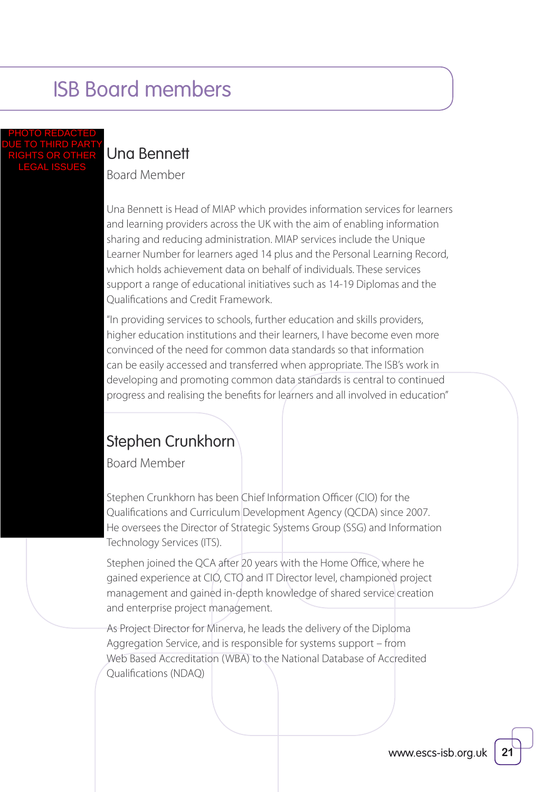#### PHOTO REDACTED DUE TO THIRD PARTY RIGHTS OR OTHER LEGAL ISSUES

## [Una Bennett](http://data.gov.uk/education-standards/about-isb)

Board Member

Una Bennett is Head of MIAP which provides information services for learners and learning providers across the UK with the aim of enabling information sharing and reducing administration. MIAP services include the Unique Learner Number for learners aged 14 plus and the Personal Learning Record, which holds achievement data on behalf of individuals. These services support a range of educational initiatives such as 14-19 Diplomas and the Qualifications and Credit Framework.

"In providing services to schools, further education and skills providers, higher education institutions and their learners, I have become even more convinced of the need for common data standards so that information can be easily accessed and transferred when appropriate. The ISB's work in developing and promoting common data standards is central to continued progress and realising the benefits for learners and all involved in education"

### Stephen Crunkhorn

Board Member

Stephen Crunkhorn has been Chief Information Officer (CIO) for the Qualifications and Curriculum Development Agency (QCDA) since 2007. He oversees the Director of Strategic Systems Group (SSG) and Information Technology Services (ITS).

Stephen joined the QCA after 20 years with the Home Office, where he gained experience at CIO, CTO and IT Director level, championed project management and gained in-depth knowledge of shared service creation and enterprise project management.

As Project Director for Minerva, he leads the delivery of the Diploma Aggregation Service, and is responsible for systems support – from Web Based Accreditation (WBA) to the National Database of Accredited Qualifications (NDAQ)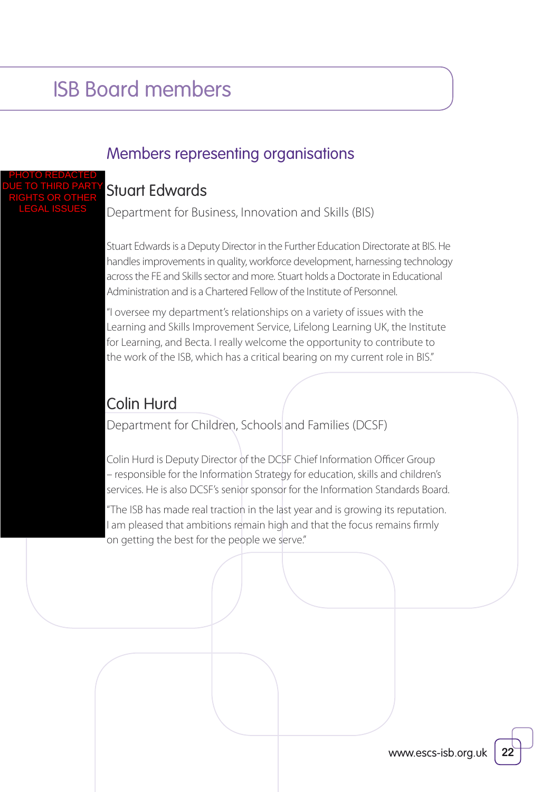### Members representing organisations

#### Stuart Edwards PHOTO REDACTED DUE TO THIRD PARTY RIGHTS OR OTHER

LEGAL ISSUES

Department for Business, Innovation and Skills (BIS)

Stuart Edwards is a Deputy Director in the Further Education Directorate at BIS. He handles improvements in quality, workforce development, harnessing technology across the FE and Skills sector and more. Stuart holds a Doctorate in Educational Administration and is a Chartered Fellow of the Institute of Personnel.

"I oversee my department's relationships on a variety of issues with the Learning and Skills Improvement Service, Lifelong Learning UK, the Institute for Learning, and Becta. I really welcome the opportunity to contribute to the work of the ISB, which has a critical bearing on my current role in BIS."

### Colin Hurd

Department for Children, Schools and Families (DCSF)

Colin Hurd is Deputy Director of the DCSF Chief Information Officer Group – responsible for the Information Strategy for education, skills and children's services. He is also DCSF's senior sponsor for the Information Standards Board.

"The ISB has made real traction in the last year and is growing its reputation. I am pleased that ambitions remain high and that the focus remains firmly on getting the best for the people we serve."

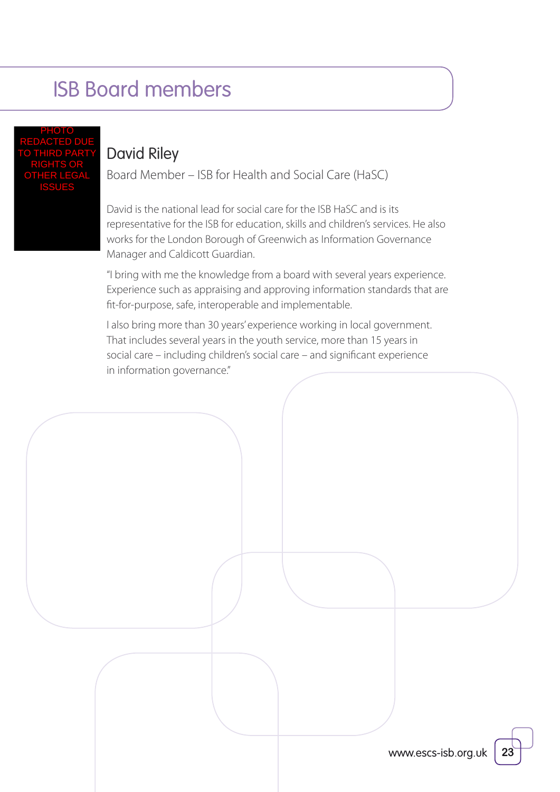PHOTO REDACTED DUE TO THIRD PARTY RIGHTS OR OTHER LEGAL ISSUES

### [David Riley](http://data.gov.uk/education-standards/about-isb)

Board Member – ISB for Health and Social Care (HaSC)

David is the national lead for social care for the ISB HaSC and is its representative for the ISB for education, skills and children's services. He also works for the London Borough of Greenwich as Information Governance Manager and Caldicott Guardian.

"I bring with me the knowledge from a board with several years experience. Experience such as appraising and approving information standards that are fit-for-purpose, safe, interoperable and implementable.

I also bring more than 30 years' experience working in local government. That includes several years in the youth service, more than 15 years in social care – including children's social care – and significant experience in information governance."